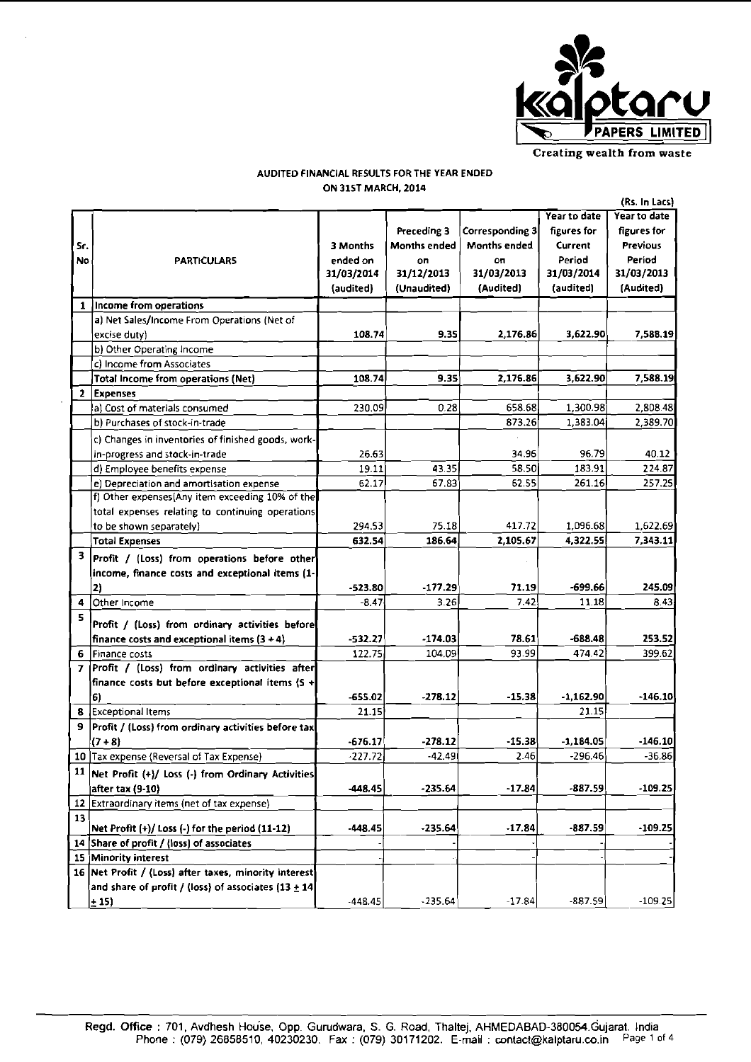

AUDITED FINANCIAL RESULTS FOR THE YEAR ENDED ON 31ST MARCH, 2014

|              |                                                          |            |              |                        |              | (Rs. In Lacs)   |
|--------------|----------------------------------------------------------|------------|--------------|------------------------|--------------|-----------------|
|              |                                                          |            |              |                        | Year to date | Year to date    |
|              |                                                          |            | Preceding 3  | <b>Corresponding 3</b> | figures for  | figures for     |
| Sr.          |                                                          | 3 Months   | Months ended | Months ended           | Current      | <b>Previous</b> |
| No           | <b>PARTICULARS</b>                                       | ended on   | on           | oп                     | Period       | Period          |
|              |                                                          | 31/03/2014 | 31/12/2013   | 31/03/2013             | 31/03/2014   | 31/03/2013      |
|              |                                                          | (audited)  | (Unaudited)  | (Audited)              | (audited)    | (Audited)       |
| 1            | Income from operations                                   |            |              |                        |              |                 |
|              | a) Net Sales/Income From Operations (Net of              |            |              |                        |              |                 |
|              | excise duty)                                             | 108.74     | 9.35         | 2,176.86               | 3,622.90     | 7,588.19        |
|              | b) Other Operating Income                                |            |              |                        |              |                 |
|              | c) Income from Associates                                |            |              |                        |              |                 |
|              | <b>Total Income from operations (Net)</b>                | 108.74     | 9.35         | 2,176.86               | 3,622.90     | 7.588.19        |
| $\mathbf{2}$ | <b>Expenses</b>                                          |            |              |                        |              |                 |
|              | a) Cost of materials consumed                            | 230.09     | 0.28         | 658.68                 | 1,300.98     | 2,808.48        |
|              | b) Purchases of stock-in-trade                           |            |              | 873.26                 | 1,383.04     | 2.389.70        |
|              | c) Changes in inventories of finished goods, work-       |            |              |                        |              |                 |
|              | in-progress and stock-in-trade                           | 26.63      |              | 34.96                  | 96.79        | 40.12           |
|              | d) Employee benefits expense                             | 19.11      | 43.35        | 58.50                  | 183.91       | 224.87          |
|              | e) Depreciation and amortisation expense                 | 62.17      | 67.83        | 62.55                  | 261.16       | 257.25          |
|              | f) Other expenses (Any item exceeding 10% of the         |            |              |                        |              |                 |
|              | total expenses relating to continuing operations         |            |              |                        |              |                 |
|              | to be shown separately)                                  | 294.53     | 75.18        | 417.72                 | 1,096.68     | 1,622.69        |
|              | <b>Total Expenses</b>                                    | 632.54     | 186.64       | 2,105.67               | 4,322.55     | 7,343.11        |
| 3            | Profit / (Loss) from operations before other             |            |              |                        |              |                 |
|              | income, finance costs and exceptional items (1-          |            |              |                        |              |                 |
|              | 2)                                                       | $-523.80$  | $-177.29$    | 71.19                  | -699.66      | 245.09          |
| 4            | Other Income                                             | $-8.47$    | 3.26         | 7.42                   | 11.18        | 8.43            |
| 5            | Profit / (Loss) from ordinary activities before          |            |              |                        |              |                 |
|              | finance costs and exceptional items $(3 + 4)$            | $-532.27$  | -174.03      | 78.61                  | -688.48      | 253.52          |
| 6            | Finance costs                                            | 122.75     | 104.09       | 93.99                  | 474.42       | 399.62          |
| 7            | Profit / (Loss) from ordinary activities after           |            |              |                        |              |                 |
|              | finance costs but before exceptional items (S +          |            |              |                        |              |                 |
|              | '6)                                                      | -655.02    | -278.12      | -15.38                 | $-1,162.90$  | $-146.10$       |
| 8            | <b>Exceptional Items</b>                                 | 21.15      |              |                        | 21.15        |                 |
| 9.           | Profit / (Loss) from ordinary activities before tax      |            |              |                        |              |                 |
|              | $(7 + 8)$                                                | -676.17    | -278.12      | -15.38                 | $-1,184.05$  | $-146.10$       |
|              | 10 Tax expense (Reversal of Tax Expense)                 | $-227.72$  | $-42.49$     | 2.46                   | $-296.46$    | 36.86           |
|              | 11   Net Profit (+)/ Loss (-) from Ordinary Activities   |            |              |                        |              |                 |
|              | after tax (9-10)                                         | -448.45    | $-235.64$    | $-17.84$               | $-887.59$    | $-109.25$       |
| 12           | Extraordinary items (net of tax expense)                 |            |              |                        |              |                 |
| 13           |                                                          |            |              |                        |              |                 |
|              | Net Profit $(+)/$ Loss $(-)$ for the period $(11-12)$    | $-448.45$  | $-235.64$    | $-17.84$               | -887.59      | $-109.25$       |
| 14           | Share of profit / (loss) of associates                   |            |              |                        |              |                 |
|              | 15 Minority interest                                     |            |              |                        |              |                 |
|              | 16 Net Profit / (Loss) after taxes, minority interest    |            |              |                        |              |                 |
|              | and share of profit / (loss) of associates $(13 \pm 14)$ |            |              |                        |              |                 |
|              | $-15$                                                    | -448.45    | $-235.64$    | $-17.84$               | $-887.59$    | $-109.25$       |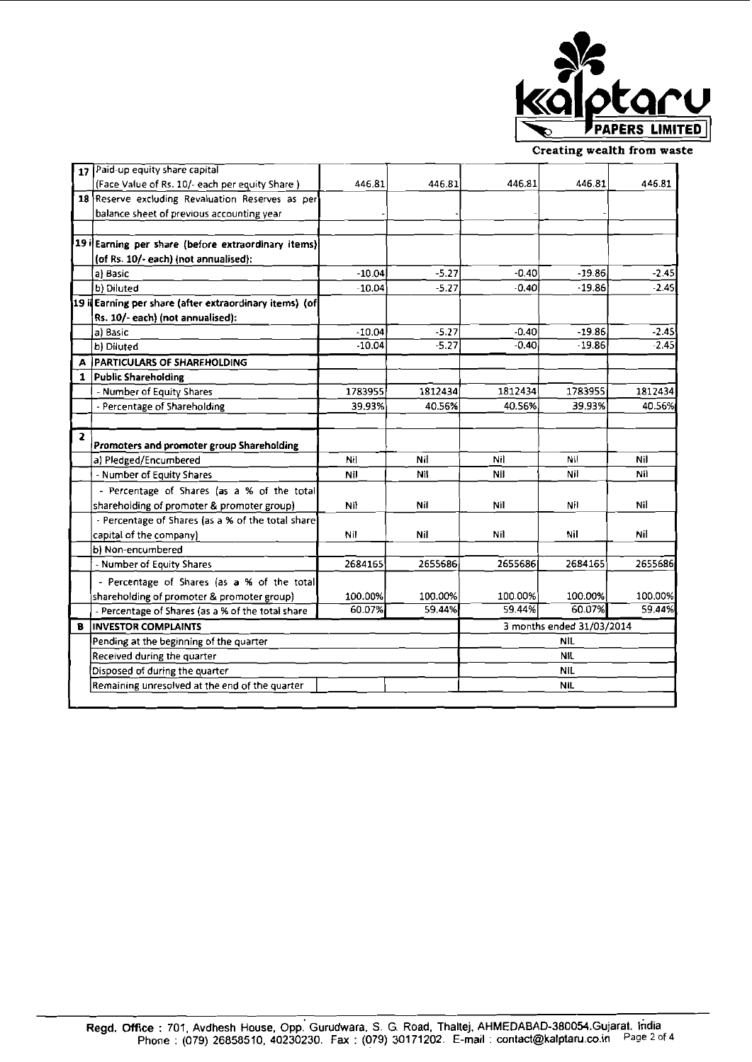

**Creating wealth from waste** 

|                         | 17 Paid-up equity share capital                                                                 |          |         |         |                           |         |
|-------------------------|-------------------------------------------------------------------------------------------------|----------|---------|---------|---------------------------|---------|
|                         | (Face Value of Rs. 10/- each per equity Share)                                                  | 446.81   | 446.81  | 446.81  | 446.81                    | 446.81  |
|                         | 18 Reserve excluding Revaluation Reserves as per                                                |          |         |         |                           |         |
|                         | balance sheet of previous accounting year                                                       |          |         |         |                           |         |
|                         |                                                                                                 |          |         |         |                           |         |
|                         | 19 i Earning per share (before extraordinary items)                                             |          |         |         |                           |         |
|                         | (of Rs. 10/- each) (not annualised):                                                            |          |         |         |                           |         |
|                         | a) Basic                                                                                        | $-10.04$ | $-5.27$ | $-0.40$ | -19.86                    | $-2.45$ |
|                         | b) Diluted                                                                                      | $-10.04$ | $-5.27$ | $-0.40$ | $-19.86$                  | $-2.45$ |
|                         | 19 il Earning per share (after extraordinary items) (of                                         |          |         |         |                           |         |
|                         | Rs. 10/- each) (not annualised):                                                                |          |         |         |                           |         |
|                         | a) Basic                                                                                        | $-10.04$ | $-5.27$ | $-0.40$ | $-19.86$                  | $-2.45$ |
|                         | b) Diluted                                                                                      | $-10.04$ | $-5.27$ | $-0.40$ | $-19.86$                  | $-2.45$ |
| А                       | <b>PARTICULARS OF SHAREHOLDING</b>                                                              |          |         |         |                           |         |
| 1                       | <b>Public Shareholding</b>                                                                      |          |         |         |                           |         |
|                         | - Number of Equity Shares                                                                       | 1783955  | 1812434 | 1812434 | 1783955                   | 1812434 |
|                         | - Percentage of Shareholding                                                                    | 39.93%   | 40.56%  | 40.56%  | 39.93%                    | 40.56%  |
|                         |                                                                                                 |          |         |         |                           |         |
|                         |                                                                                                 |          |         |         |                           |         |
| $\overline{\mathbf{z}}$ | Promoters and promoter group Shareholding                                                       |          |         |         |                           |         |
|                         | a) Pledged/Encumbered                                                                           | Nil      | Nil     | Nil     | Nil                       | Nil     |
|                         | - Number of Equity Shares                                                                       | Nil      | Nil     | Nil     | Nil                       | Nil     |
|                         | - Percentage of Shares (as a % of the total                                                     |          |         |         |                           |         |
|                         | shareholding of promoter & promoter group)                                                      | Nil      | Nil     | Nil     | Nil                       | Nil     |
|                         | - Percentage of Shares (as a % of the total share)                                              |          |         |         |                           |         |
|                         | capital of the company)                                                                         | Nil      | Nil     | Nil     | Nil                       | Nil     |
|                         | b) Non-encumbered                                                                               |          |         |         |                           |         |
|                         | - Number of Equity Shares                                                                       | 2684165  | 2655686 | 2655686 | 2684165                   | 2655686 |
|                         | - Percentage of Shares (as a % of the total                                                     |          |         |         |                           |         |
|                         |                                                                                                 | 100.00%  | 100.00% | 100.00% | 100.00%                   | 100.00% |
|                         | shareholding of promoter & promoter group)<br>- Percentage of Shares (as a % of the total share | 60.07%   | 59.44%  | 59.44%  | 60.07%                    | 59.44%  |
| B                       | <b>INVESTOR COMPLAINTS</b>                                                                      |          |         |         | 3 months ended 31/03/2014 |         |
|                         | Pending at the beginning of the quarter                                                         |          |         |         | <b>NIL</b>                |         |
|                         | Received during the quarter                                                                     |          |         |         | <b>NIL</b>                |         |
|                         | Disposed of during the quarter                                                                  |          |         |         | <b>NIL</b>                |         |
|                         | Remaining unresolved at the end of the quarter                                                  |          |         |         | <b>NIL</b>                |         |